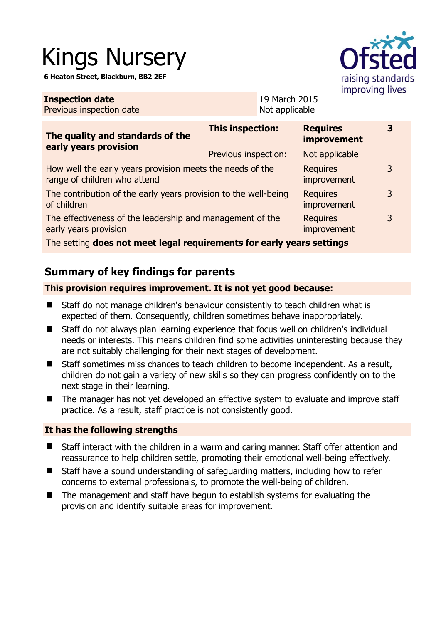# Kings Nursery

**6 Heaton Street, Blackburn, BB2 2EF** 



| <b>Inspection date</b><br>Previous inspection date                                        |                         | 19 March 2015<br>Not applicable |                                       |   |
|-------------------------------------------------------------------------------------------|-------------------------|---------------------------------|---------------------------------------|---|
| The quality and standards of the<br>early years provision                                 | <b>This inspection:</b> |                                 | <b>Requires</b><br><b>improvement</b> | 3 |
|                                                                                           | Previous inspection:    |                                 | Not applicable                        |   |
| How well the early years provision meets the needs of the<br>range of children who attend |                         |                                 | <b>Requires</b><br><i>improvement</i> | 3 |
| The contribution of the early years provision to the well-being<br>of children            |                         |                                 | <b>Requires</b><br>improvement        | 3 |
| The effectiveness of the leadership and management of the<br>early years provision        |                         |                                 | <b>Requires</b><br>improvement        | 3 |
| The setting does not meet legal requirements for early years settings                     |                         |                                 |                                       |   |

# **Summary of key findings for parents**

## **This provision requires improvement. It is not yet good because:**

- Staff do not manage children's behaviour consistently to teach children what is expected of them. Consequently, children sometimes behave inappropriately.
- Staff do not always plan learning experience that focus well on children's individual needs or interests. This means children find some activities uninteresting because they are not suitably challenging for their next stages of development.
- Staff sometimes miss chances to teach children to become independent. As a result, children do not gain a variety of new skills so they can progress confidently on to the next stage in their learning.
- The manager has not yet developed an effective system to evaluate and improve staff practice. As a result, staff practice is not consistently good.

# **It has the following strengths**

- Staff interact with the children in a warm and caring manner. Staff offer attention and reassurance to help children settle, promoting their emotional well-being effectively.
- Staff have a sound understanding of safeguarding matters, including how to refer concerns to external professionals, to promote the well-being of children.
- The management and staff have begun to establish systems for evaluating the provision and identify suitable areas for improvement.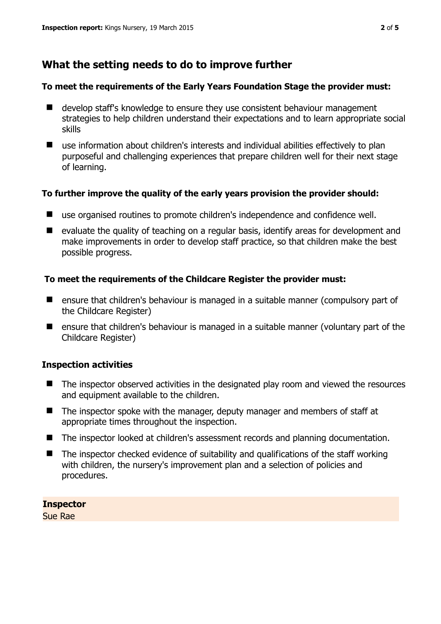# **What the setting needs to do to improve further**

#### **To meet the requirements of the Early Years Foundation Stage the provider must:**

- develop staff's knowledge to ensure they use consistent behaviour management strategies to help children understand their expectations and to learn appropriate social skills
- use information about children's interests and individual abilities effectively to plan purposeful and challenging experiences that prepare children well for their next stage of learning.

#### **To further improve the quality of the early years provision the provider should:**

- use organised routines to promote children's independence and confidence well.
- evaluate the quality of teaching on a regular basis, identify areas for development and make improvements in order to develop staff practice, so that children make the best possible progress.

### **To meet the requirements of the Childcare Register the provider must:**

- **E** ensure that children's behaviour is managed in a suitable manner (compulsory part of the Childcare Register)
- **E** ensure that children's behaviour is managed in a suitable manner (voluntary part of the Childcare Register)

### **Inspection activities**

- The inspector observed activities in the designated play room and viewed the resources and equipment available to the children.
- The inspector spoke with the manager, deputy manager and members of staff at appropriate times throughout the inspection.
- The inspector looked at children's assessment records and planning documentation.
- $\blacksquare$  The inspector checked evidence of suitability and qualifications of the staff working with children, the nursery's improvement plan and a selection of policies and procedures.

# **Inspector**

Sue Rae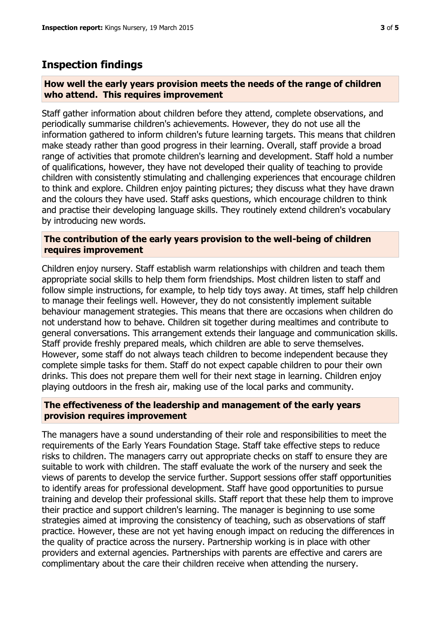# **Inspection findings**

#### **How well the early years provision meets the needs of the range of children who attend. This requires improvement**

Staff gather information about children before they attend, complete observations, and periodically summarise children's achievements. However, they do not use all the information gathered to inform children's future learning targets. This means that children make steady rather than good progress in their learning. Overall, staff provide a broad range of activities that promote children's learning and development. Staff hold a number of qualifications, however, they have not developed their quality of teaching to provide children with consistently stimulating and challenging experiences that encourage children to think and explore. Children enjoy painting pictures; they discuss what they have drawn and the colours they have used. Staff asks questions, which encourage children to think and practise their developing language skills. They routinely extend children's vocabulary by introducing new words.

#### **The contribution of the early years provision to the well-being of children requires improvement**

Children enjoy nursery. Staff establish warm relationships with children and teach them appropriate social skills to help them form friendships. Most children listen to staff and follow simple instructions, for example, to help tidy toys away. At times, staff help children to manage their feelings well. However, they do not consistently implement suitable behaviour management strategies. This means that there are occasions when children do not understand how to behave. Children sit together during mealtimes and contribute to general conversations. This arrangement extends their language and communication skills. Staff provide freshly prepared meals, which children are able to serve themselves. However, some staff do not always teach children to become independent because they complete simple tasks for them. Staff do not expect capable children to pour their own drinks. This does not prepare them well for their next stage in learning. Children enjoy playing outdoors in the fresh air, making use of the local parks and community.

#### **The effectiveness of the leadership and management of the early years provision requires improvement**

The managers have a sound understanding of their role and responsibilities to meet the requirements of the Early Years Foundation Stage. Staff take effective steps to reduce risks to children. The managers carry out appropriate checks on staff to ensure they are suitable to work with children. The staff evaluate the work of the nursery and seek the views of parents to develop the service further. Support sessions offer staff opportunities to identify areas for professional development. Staff have good opportunities to pursue training and develop their professional skills. Staff report that these help them to improve their practice and support children's learning. The manager is beginning to use some strategies aimed at improving the consistency of teaching, such as observations of staff practice. However, these are not yet having enough impact on reducing the differences in the quality of practice across the nursery. Partnership working is in place with other providers and external agencies. Partnerships with parents are effective and carers are complimentary about the care their children receive when attending the nursery.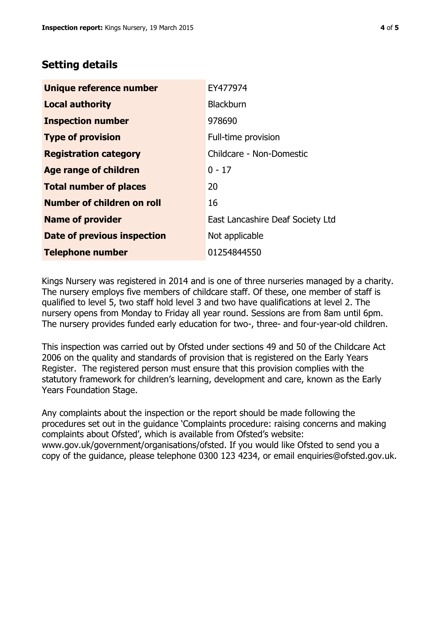# **Setting details**

| Unique reference number       | EY477974                         |  |
|-------------------------------|----------------------------------|--|
| <b>Local authority</b>        | <b>Blackburn</b>                 |  |
| <b>Inspection number</b>      | 978690                           |  |
| <b>Type of provision</b>      | Full-time provision              |  |
| <b>Registration category</b>  | Childcare - Non-Domestic         |  |
| Age range of children         | $0 - 17$                         |  |
| <b>Total number of places</b> | 20                               |  |
| Number of children on roll    | 16                               |  |
| <b>Name of provider</b>       | East Lancashire Deaf Society Ltd |  |
| Date of previous inspection   | Not applicable                   |  |
| <b>Telephone number</b>       | 01254844550                      |  |

Kings Nursery was registered in 2014 and is one of three nurseries managed by a charity. The nursery employs five members of childcare staff. Of these, one member of staff is qualified to level 5, two staff hold level 3 and two have qualifications at level 2. The nursery opens from Monday to Friday all year round. Sessions are from 8am until 6pm. The nursery provides funded early education for two-, three- and four-year-old children.

This inspection was carried out by Ofsted under sections 49 and 50 of the Childcare Act 2006 on the quality and standards of provision that is registered on the Early Years Register. The registered person must ensure that this provision complies with the statutory framework for children's learning, development and care, known as the Early Years Foundation Stage.

Any complaints about the inspection or the report should be made following the procedures set out in the guidance 'Complaints procedure: raising concerns and making complaints about Ofsted', which is available from Ofsted's website: www.gov.uk/government/organisations/ofsted. If you would like Ofsted to send you a copy of the guidance, please telephone 0300 123 4234, or email enquiries@ofsted.gov.uk.